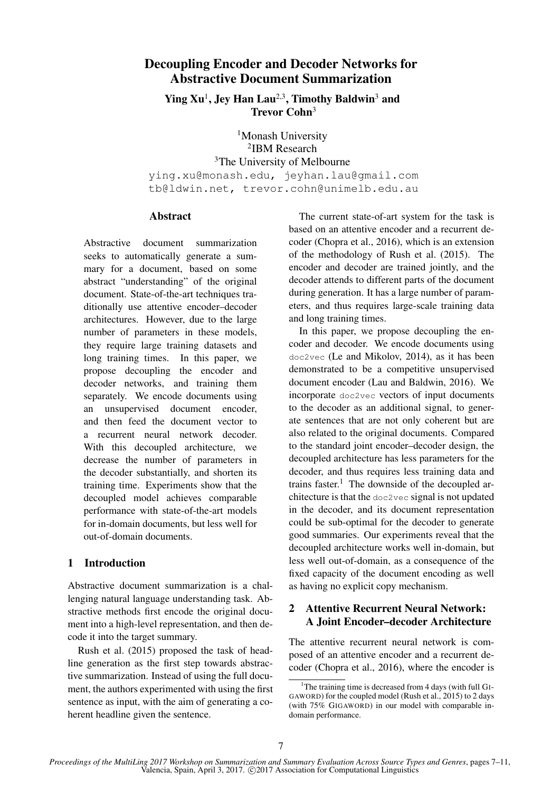# Decoupling Encoder and Decoder Networks for Abstractive Document Summarization

Ying  $Xu<sup>1</sup>$ , Jey Han Lau<sup>2,3</sup>, Timothy Baldwin<sup>3</sup> and Trevor Cohn<sup>3</sup>

<sup>1</sup>Monash University 2 IBM Research <sup>3</sup>The University of Melbourne ying.xu@monash.edu, jeyhan.lau@gmail.com tb@ldwin.net, trevor.cohn@unimelb.edu.au

### Abstract

Abstractive document summarization seeks to automatically generate a summary for a document, based on some abstract "understanding" of the original document. State-of-the-art techniques traditionally use attentive encoder–decoder architectures. However, due to the large number of parameters in these models, they require large training datasets and long training times. In this paper, we propose decoupling the encoder and decoder networks, and training them separately. We encode documents using an unsupervised document encoder, and then feed the document vector to a recurrent neural network decoder. With this decoupled architecture, we decrease the number of parameters in the decoder substantially, and shorten its training time. Experiments show that the decoupled model achieves comparable performance with state-of-the-art models for in-domain documents, but less well for out-of-domain documents.

# 1 Introduction

Abstractive document summarization is a challenging natural language understanding task. Abstractive methods first encode the original document into a high-level representation, and then decode it into the target summary.

Rush et al. (2015) proposed the task of headline generation as the first step towards abstractive summarization. Instead of using the full document, the authors experimented with using the first sentence as input, with the aim of generating a coherent headline given the sentence.

The current state-of-art system for the task is based on an attentive encoder and a recurrent decoder (Chopra et al., 2016), which is an extension of the methodology of Rush et al. (2015). The encoder and decoder are trained jointly, and the decoder attends to different parts of the document during generation. It has a large number of parameters, and thus requires large-scale training data and long training times.

In this paper, we propose decoupling the encoder and decoder. We encode documents using doc2vec (Le and Mikolov, 2014), as it has been demonstrated to be a competitive unsupervised document encoder (Lau and Baldwin, 2016). We incorporate doc2vec vectors of input documents to the decoder as an additional signal, to generate sentences that are not only coherent but are also related to the original documents. Compared to the standard joint encoder–decoder design, the decoupled architecture has less parameters for the decoder, and thus requires less training data and trains faster.<sup>1</sup> The downside of the decoupled architecture is that the doc2vec signal is not updated in the decoder, and its document representation could be sub-optimal for the decoder to generate good summaries. Our experiments reveal that the decoupled architecture works well in-domain, but less well out-of-domain, as a consequence of the fixed capacity of the document encoding as well as having no explicit copy mechanism.

# 2 Attentive Recurrent Neural Network: A Joint Encoder–decoder Architecture

The attentive recurrent neural network is composed of an attentive encoder and a recurrent decoder (Chopra et al., 2016), where the encoder is

<sup>&</sup>lt;sup>1</sup>The training time is decreased from 4 days (with full GI-GAWORD) for the coupled model (Rush et al., 2015) to 2 days (with 75% GIGAWORD) in our model with comparable indomain performance.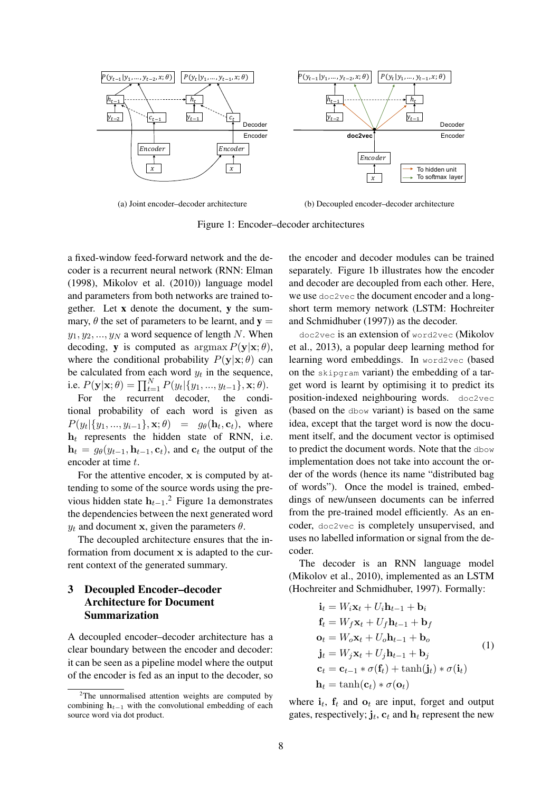

(a) Joint encoder–decoder architecture

(b) Decoupled encoder–decoder architecture

Figure 1: Encoder–decoder architectures

a fixed-window feed-forward network and the decoder is a recurrent neural network (RNN: Elman (1998), Mikolov et al. (2010)) language model and parameters from both networks are trained together. Let x denote the document, y the summary,  $\theta$  the set of parameters to be learnt, and  $y =$  $y_1, y_2, ..., y_N$  a word sequence of length N. When decoding, y is computed as  $\arg\max P(\mathbf{y}|\mathbf{x};\theta)$ , where the conditional probability  $P(y|\mathbf{x}; \theta)$  can be calculated from each word  $y_t$  in the sequence, i.e.  $P(\mathbf{y}|\mathbf{x};\theta) = \prod_{t=1}^{N} P(y_t | \{y_1, ..., y_{t-1}\}, \mathbf{x}; \theta).$ 

For the recurrent decoder, the conditional probability of each word is given as  $P(y_t | \{y_1, ..., y_{i-1}\}, \mathbf{x}; \theta) = g_\theta(\mathbf{h}_t, \mathbf{c}_t)$ , where  $h_t$  represents the hidden state of RNN, i.e.  $\mathbf{h}_t = g_{\theta}(y_{t-1}, \mathbf{h}_{t-1}, \mathbf{c}_t)$ , and  $\mathbf{c}_t$  the output of the encoder at time t.

For the attentive encoder, x is computed by attending to some of the source words using the previous hidden state  $h_{t-1}$ .<sup>2</sup> Figure 1a demonstrates the dependencies between the next generated word  $y_t$  and document x, given the parameters  $\theta$ .

The decoupled architecture ensures that the information from document x is adapted to the current context of the generated summary.

## 3 Decoupled Encoder–decoder Architecture for Document Summarization

A decoupled encoder–decoder architecture has a clear boundary between the encoder and decoder: it can be seen as a pipeline model where the output of the encoder is fed as an input to the decoder, so the encoder and decoder modules can be trained separately. Figure 1b illustrates how the encoder and decoder are decoupled from each other. Here, we use doc2vec the document encoder and a longshort term memory network (LSTM: Hochreiter and Schmidhuber (1997)) as the decoder.

doc2vec is an extension of word2vec (Mikolov et al., 2013), a popular deep learning method for learning word embeddings. In word2vec (based on the skipgram variant) the embedding of a target word is learnt by optimising it to predict its position-indexed neighbouring words. doc2vec (based on the dbow variant) is based on the same idea, except that the target word is now the document itself, and the document vector is optimised to predict the document words. Note that the dbow implementation does not take into account the order of the words (hence its name "distributed bag of words"). Once the model is trained, embeddings of new/unseen documents can be inferred from the pre-trained model efficiently. As an encoder, doc2vec is completely unsupervised, and uses no labelled information or signal from the decoder.

The decoder is an RNN language model (Mikolov et al., 2010), implemented as an LSTM (Hochreiter and Schmidhuber, 1997). Formally:

$$
\mathbf{i}_t = W_i \mathbf{x}_t + U_i \mathbf{h}_{t-1} + \mathbf{b}_i
$$
\n
$$
\mathbf{f}_t = W_f \mathbf{x}_t + U_f \mathbf{h}_{t-1} + \mathbf{b}_f
$$
\n
$$
\mathbf{o}_t = W_o \mathbf{x}_t + U_o \mathbf{h}_{t-1} + \mathbf{b}_o
$$
\n
$$
\mathbf{j}_t = W_j \mathbf{x}_t + U_j \mathbf{h}_{t-1} + \mathbf{b}_j
$$
\n
$$
\mathbf{c}_t = \mathbf{c}_{t-1} * \sigma(\mathbf{f}_t) + \tanh(\mathbf{j}_t) * \sigma(\mathbf{i}_t)
$$
\n
$$
\mathbf{h}_t = \tanh(\mathbf{c}_t) * \sigma(\mathbf{o}_t)
$$
\n(1)

where  $\mathbf{i}_t$ ,  $\mathbf{f}_t$  and  $\mathbf{o}_t$  are input, forget and output gates, respectively;  $\mathbf{j}_t$ ,  $\mathbf{c}_t$  and  $\mathbf{h}_t$  represent the new

 $2$ The unnormalised attention weights are computed by combining  $h_{t-1}$  with the convolutional embedding of each source word via dot product.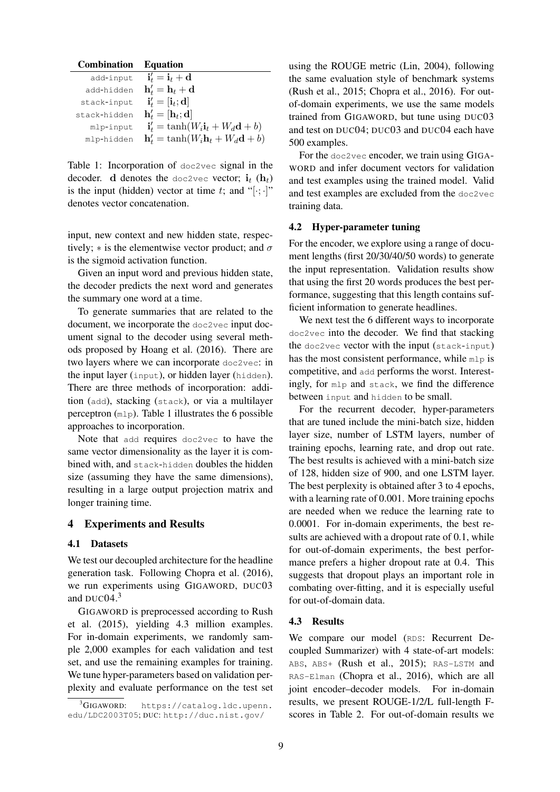| <b>Combination</b> | <b>Equation</b>                                                |
|--------------------|----------------------------------------------------------------|
| add-input          | $\mathbf{i}'_t = \mathbf{i}_t + \mathbf{d}$                    |
| add-hidden         | $\mathbf{h}'_t = \mathbf{h}_t + \mathbf{d}$                    |
| stack-input        | $\mathbf{i}'_t = [\mathbf{i}_t; \mathbf{d}]$                   |
| stack-hidden       | $\mathbf{h}'_t = [\mathbf{h}_t; \mathbf{d}]$                   |
| mlp-input          | $\mathbf{i}'_t = \tanh(W_i \mathbf{i}_t + W_d \mathbf{d} + b)$ |
| mlp-hidden         | $\mathbf{h}'_t = \tanh(W_i \mathbf{h}_t + W_d \mathbf{d} + b)$ |

Table 1: Incorporation of doc2vec signal in the decoder. d denotes the doc2vec vector;  $\mathbf{i}_t$  (h<sub>t</sub>) is the input (hidden) vector at time t; and "[ $\cdot$ ; ·]" denotes vector concatenation.

input, new context and new hidden state, respectively;  $*$  is the elementwise vector product; and  $\sigma$ is the sigmoid activation function.

Given an input word and previous hidden state, the decoder predicts the next word and generates the summary one word at a time.

To generate summaries that are related to the document, we incorporate the doc2vec input document signal to the decoder using several methods proposed by Hoang et al. (2016). There are two layers where we can incorporate doc2vec: in the input layer (input), or hidden layer (hidden). There are three methods of incorporation: addition (add), stacking (stack), or via a multilayer perceptron (mlp). Table 1 illustrates the 6 possible approaches to incorporation.

Note that add requires doc2vec to have the same vector dimensionality as the layer it is combined with, and stack-hidden doubles the hidden size (assuming they have the same dimensions), resulting in a large output projection matrix and longer training time.

### 4 Experiments and Results

#### 4.1 Datasets

We test our decoupled architecture for the headline generation task. Following Chopra et al. (2016), we run experiments using GIGAWORD, DUC03 and DUC $04<sup>3</sup>$ 

GIGAWORD is preprocessed according to Rush et al. (2015), yielding 4.3 million examples. For in-domain experiments, we randomly sample 2,000 examples for each validation and test set, and use the remaining examples for training. We tune hyper-parameters based on validation perplexity and evaluate performance on the test set using the ROUGE metric (Lin, 2004), following the same evaluation style of benchmark systems (Rush et al., 2015; Chopra et al., 2016). For outof-domain experiments, we use the same models trained from GIGAWORD, but tune using DUC03 and test on DUC04; DUC03 and DUC04 each have 500 examples.

For the doc2vec encoder, we train using GIGA-WORD and infer document vectors for validation and test examples using the trained model. Valid and test examples are excluded from the doc2vec training data.

#### 4.2 Hyper-parameter tuning

For the encoder, we explore using a range of document lengths (first 20/30/40/50 words) to generate the input representation. Validation results show that using the first 20 words produces the best performance, suggesting that this length contains sufficient information to generate headlines.

We next test the 6 different ways to incorporate doc2vec into the decoder. We find that stacking the doc2vec vector with the input (stack-input) has the most consistent performance, while mlp is competitive, and add performs the worst. Interestingly, for mlp and stack, we find the difference between input and hidden to be small.

For the recurrent decoder, hyper-parameters that are tuned include the mini-batch size, hidden layer size, number of LSTM layers, number of training epochs, learning rate, and drop out rate. The best results is achieved with a mini-batch size of 128, hidden size of 900, and one LSTM layer. The best perplexity is obtained after 3 to 4 epochs, with a learning rate of 0.001. More training epochs are needed when we reduce the learning rate to 0.0001. For in-domain experiments, the best results are achieved with a dropout rate of 0.1, while for out-of-domain experiments, the best performance prefers a higher dropout rate at 0.4. This suggests that dropout plays an important role in combating over-fitting, and it is especially useful for out-of-domain data.

#### 4.3 Results

We compare our model (RDS: Recurrent Decoupled Summarizer) with 4 state-of-art models: ABS, ABS+ (Rush et al., 2015); RAS-LSTM and RAS-Elman (Chopra et al., 2016), which are all joint encoder–decoder models. For in-domain results, we present ROUGE-1/2/L full-length Fscores in Table 2. For out-of-domain results we

 ${}^{3}$ GIGAWORD: https://catalog.ldc.upenn. edu/LDC2003T05; DUC: http://duc.nist.gov/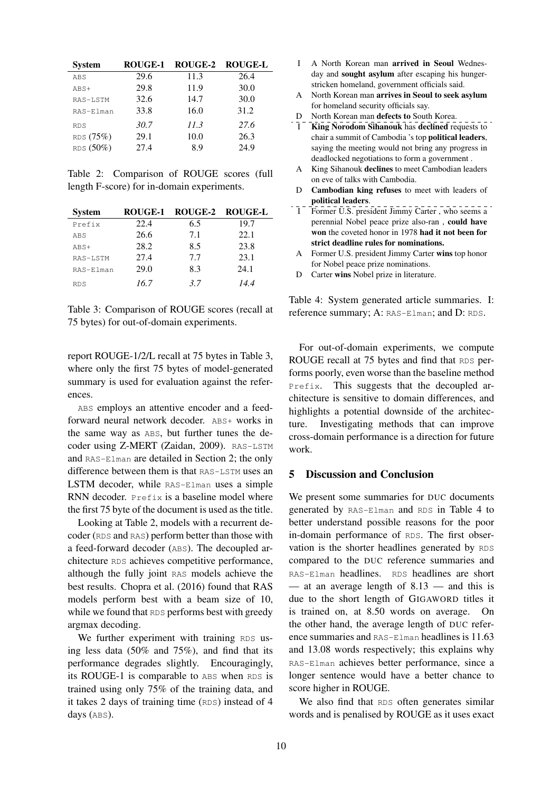| <b>System</b> | <b>ROUGE-1</b> | ROUGE-2 | <b>ROUGE-L</b> |
|---------------|----------------|---------|----------------|
| ABS           | 29.6           | 11.3    | 26.4           |
| ABS+          | 29.8           | 11.9    | 30.0           |
| RAS-LSTM      | 32.6           | 14.7    | 30.0           |
| RAS-Elman     | 33.8           | 16.0    | 31.2           |
| <b>RDS</b>    | 30.7           | 11.3    | 27.6           |
| RDS (75%)     | 29.1           | 10.0    | 26.3           |
| RDS (50%)     | 27.4           | 8.9     | 24.9           |

Table 2: Comparison of ROUGE scores (full length F-score) for in-domain experiments.

| <b>System</b> | ROUGE-1 | ROUGE-2 ROUGE-L |      |
|---------------|---------|-----------------|------|
| Prefix        | 22.4    | 6.5             | 19.7 |
| ABS           | 26.6    | 7.1             | 22.1 |
| $ABS+$        | 28.2    | 8.5             | 23.8 |
| RAS-LSTM      | 27.4    | 7.7             | 23.1 |
| RAS-Elman     | 29.0    | 8.3             | 24.1 |
| <b>RDS</b>    | 16.7    | 3.7             | 14.4 |

Table 3: Comparison of ROUGE scores (recall at 75 bytes) for out-of-domain experiments.

report ROUGE-1/2/L recall at 75 bytes in Table 3, where only the first 75 bytes of model-generated summary is used for evaluation against the references.

ABS employs an attentive encoder and a feedforward neural network decoder. ABS+ works in the same way as ABS, but further tunes the decoder using Z-MERT (Zaidan, 2009). RAS-LSTM and RAS-Elman are detailed in Section 2; the only difference between them is that RAS-LSTM uses an LSTM decoder, while RAS-Elman uses a simple RNN decoder. Prefix is a baseline model where the first 75 byte of the document is used as the title.

Looking at Table 2, models with a recurrent decoder (RDS and RAS) perform better than those with a feed-forward decoder (ABS). The decoupled architecture RDS achieves competitive performance, although the fully joint RAS models achieve the best results. Chopra et al. (2016) found that RAS models perform best with a beam size of 10, while we found that RDS performs best with greedy argmax decoding.

We further experiment with training RDS using less data (50% and 75%), and find that its performance degrades slightly. Encouragingly, its ROUGE-1 is comparable to ABS when RDS is trained using only 75% of the training data, and it takes 2 days of training time (RDS) instead of 4 days (ABS).

- I A North Korean man arrived in Seoul Wednesday and sought asylum after escaping his hungerstricken homeland, government officials said.
- A North Korean man arrives in Seoul to seek asylum for homeland security officials say.
- D North Korean man defects to South Korea.
- I King Norodom Sihanouk has declined requests to chair a summit of Cambodia 's top political leaders, saying the meeting would not bring any progress in deadlocked negotiations to form a government .
- A King Sihanouk declines to meet Cambodian leaders on eve of talks with Cambodia.
- D Cambodian king refuses to meet with leaders of political leaders.
- I Former U.S. president Jimmy Carter, who seems a perennial Nobel peace prize also-ran , could have won the coveted honor in 1978 had it not been for strict deadline rules for nominations.
- A Former U.S. president Jimmy Carter wins top honor for Nobel peace prize nominations.
- D Carter wins Nobel prize in literature.

Table 4: System generated article summaries. I: reference summary; A: RAS-Elman; and D: RDS.

For out-of-domain experiments, we compute ROUGE recall at 75 bytes and find that RDS performs poorly, even worse than the baseline method Prefix. This suggests that the decoupled architecture is sensitive to domain differences, and highlights a potential downside of the architecture. Investigating methods that can improve cross-domain performance is a direction for future work.

### 5 Discussion and Conclusion

We present some summaries for DUC documents generated by RAS-Elman and RDS in Table 4 to better understand possible reasons for the poor in-domain performance of RDS. The first observation is the shorter headlines generated by RDS compared to the DUC reference summaries and RAS-Elman headlines. RDS headlines are short — at an average length of  $8.13$  — and this is due to the short length of GIGAWORD titles it is trained on, at 8.50 words on average. On the other hand, the average length of DUC reference summaries and RAS-Elman headlines is 11.63 and 13.08 words respectively; this explains why RAS-Elman achieves better performance, since a longer sentence would have a better chance to score higher in ROUGE.

We also find that RDS often generates similar words and is penalised by ROUGE as it uses exact